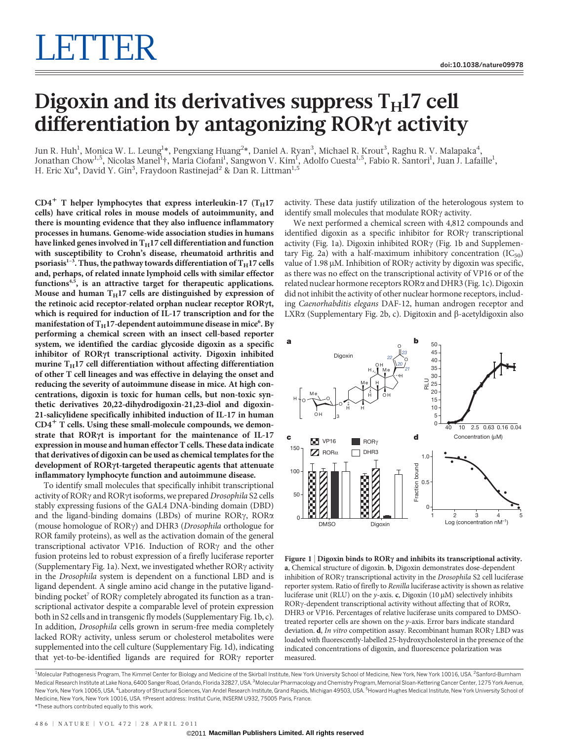## Digoxin and its derivatives suppress  $T_H17$  cell differentiation by antagonizing RORyt activity

Jun R. Huh<sup>1</sup>, Monica W. L. Leung<sup>1</sup>\*, Pengxiang Huang<sup>2</sup>\*, Daniel A. Ryan<sup>3</sup>, Michael R. Krout<sup>3</sup>, Raghu R. V. Malapaka<sup>4</sup>, Jonathan Chow<sup>1,5</sup>, Nicolas Manel<sup>1</sup>†, Maria Ciofani<sup>1</sup>, Sangwon V. Kim<sup>1</sup>, Adolfo Cuesta<sup>1,5</sup>, Fabio R. Santori<sup>1</sup>, Juan J. Lafaille<sup>1</sup>, H. Eric Xu<sup>4</sup>, David Y. Gin<sup>3</sup>, Fraydoon Rastinejad<sup>2</sup> & Dan R. Littman<sup>1,5</sup>

 $CD4^+$  T helper lymphocytes that express interleukin-17 (T<sub>H</sub>17 cells) have critical roles in mouse models of autoimmunity, and there is mounting evidence that they also influence inflammatory processes in humans. Genome-wide association studies in humans have linked genes involved in  $T_H17$  cell differentiation and function with susceptibility to Crohn's disease, rheumatoid arthritis and psoriasis<sup>1-3</sup>. Thus, the pathway towards differentiation of  $T_H$ 17 cells and, perhaps, of related innate lymphoid cells with similar effector functions<sup>4,5</sup>, is an attractive target for therapeutic applications. Mouse and human  $T_H17$  cells are distinguished by expression of the retinoic acid receptor-related orphan nuclear receptor ROR $\gamma$ t, which is required for induction of IL-17 transcription and for the manifestation of  $\mathrm{T_H}$ 17-dependent autoimmune disease in mice<sup>6</sup>. By performing a chemical screen with an insect cell-based reporter system, we identified the cardiac glycoside digoxin as a specific inhibitor of RORyt transcriptional activity. Digoxin inhibited murine  $T_H$ 17 cell differentiation without affecting differentiation of other T cell lineages and was effective in delaying the onset and reducing the severity of autoimmune disease in mice. At high concentrations, digoxin is toxic for human cells, but non-toxic synthetic derivatives 20,22-dihydrodigoxin-21,23-diol and digoxin-21-salicylidene specifically inhibited induction of IL-17 in human  $CD4<sup>+</sup>$  T cells. Using these small-molecule compounds, we demonstrate that  $ROR\gamma t$  is important for the maintenance of IL-17 expression in mouse and human effector T cells. These data indicate that derivatives of digoxin can be used as chemical templates for the development of RORyt-targeted therapeutic agents that attenuate inflammatory lymphocyte function and autoimmune disease.

To identify small molecules that specifically inhibit transcriptional activity of  $ROR\gamma$  and  $ROR\gamma$ t isoforms, we prepared Drosophila S2 cells stably expressing fusions of the GAL4 DNA-binding domain (DBD) and the ligand-binding domains (LBDs) of murine  $ROR\gamma$ ,  $ROR\alpha$ (mouse homologue of ROR $\gamma$ ) and DHR3 (Drosophila orthologue for ROR family proteins), as well as the activation domain of the general transcriptional activator VP16. Induction of ROR<sub>Y</sub> and the other fusion proteins led to robust expression of a firefly luciferase reporter (Supplementary Fig. 1a). Next, we investigated whether  $ROR\gamma$  activity in the Drosophila system is dependent on a functional LBD and is ligand dependent. A single amino acid change in the putative ligandbinding pocket<sup>7</sup> of ROR $\gamma$  completely abrogated its function as a transcriptional activator despite a comparable level of protein expression both in S2 cells and in transgenic fly models (Supplementary Fig. 1b, c). In addition, Drosophila cells grown in serum-free media completely lacked RORy activity, unless serum or cholesterol metabolites were supplemented into the cell culture (Supplementary Fig. 1d), indicating that yet-to-be-identified ligands are required for  $ROR\gamma$  reporter activity. These data justify utilization of the heterologous system to identify small molecules that modulate  $ROR\gamma$  activity.

We next performed a chemical screen with 4,812 compounds and identified digoxin as a specific inhibitor for ROR $\gamma$  transcriptional activity (Fig. 1a). Digoxin inhibited ROR $\gamma$  (Fig. 1b and Supplementary Fig. 2a) with a half-maximum inhibitory concentration  $(IC_{50})$ value of 1.98  $\mu$ M. Inhibition of ROR $\gamma$  activity by digoxin was specific, as there was no effect on the transcriptional activity of VP16 or of the related nuclear hormone receptors RORa and DHR3 (Fig. 1c). Digoxin did not inhibit the activity of other nuclear hormone receptors, including Caenorhabditis elegans DAF-12, human androgen receptor and LXR $\alpha$  (Supplementary Fig. 2b, c). Digitoxin and  $\beta$ -acetyldigoxin also



Figure 1 | Digoxin binds to  $ROR\gamma$  and inhibits its transcriptional activity. a, Chemical structure of digoxin. b, Digoxin demonstrates dose-dependent inhibition of  $ROR\gamma$  transcriptional activity in the *Drosophila* S2 cell luciferase reporter system. Ratio of firefly to Renilla luciferase activity is shown as relative luciferase unit (RLU) on the y-axis. c, Digoxin (10  $\mu$ M) selectively inhibits RORy-dependent transcriptional activity without affecting that of RORa, DHR3 or VP16. Percentages of relative luciferase units compared to DMSOtreated reporter cells are shown on the y-axis. Error bars indicate standard deviation. d, In vitro competition assay. Recombinant human ROR $\gamma$  LBD was loaded with fluorescently-labelled 25-hydroxycholesterol in the presence of the indicated concentrations of digoxin, and fluorescence polarization was measured.

<sup>1</sup>Molecular Pathogenesis Program, The Kimmel Center for Biology and Medicine of the Skirball Institute, New York University School of Medicine, New York, New York 10016, USA. <sup>2</sup>Sanford-Burnham Medical Research Institute at Lake Nona, 6400 Sanger Road, Orlando, Florida 32827, USA. <sup>3</sup>Molecular Pharmacology and Chemistry Program, Memorial Sloan-Kettering Cancer Center, 1275 York Avenue New York, New York 10065, USA. <sup>4</sup>Laboratory of Structural Sciences, Van Andel Research Institute, Grand Rapids, Michigan 49503, USA. <sup>5</sup>Howard Hughes Medical Institute, New York University School ot Medicine, New York, New York 10016, USA. {Present address: Institut Curie, INSERM U932, 75005 Paris, France. \*These authors contributed equally to this work.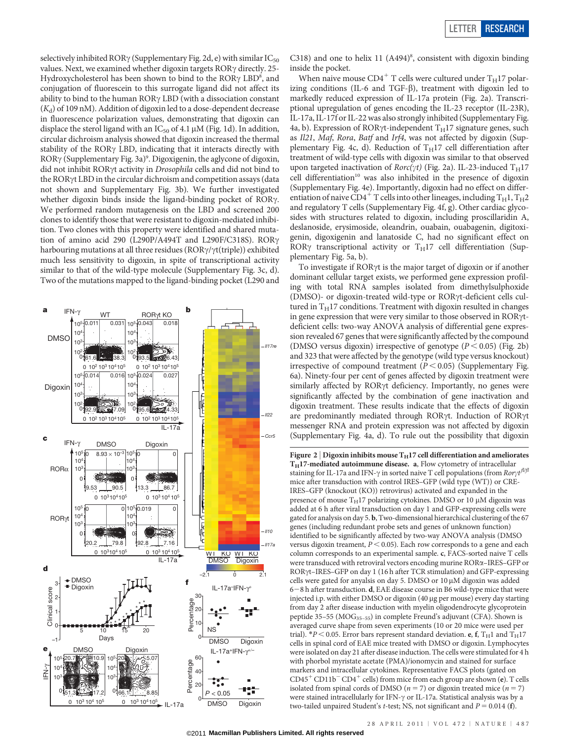selectively inhibited ROR $\gamma$  (Supplementary Fig. 2d, e) with similar IC<sub>50</sub> values. Next, we examined whether digoxin targets  $ROR\gamma$  directly. 25-Hydroxycholesterol has been shown to bind to the  $ROR\gamma LBD^8$ , and conjugation of fluorescein to this surrogate ligand did not affect its ability to bind to the human  $ROR\gamma$  LBD (with a dissociation constant  $(K_d)$  of 109 nM). Addition of digoxin led to a dose-dependent decrease in fluorescence polarization values, demonstrating that digoxin can displace the sterol ligand with an IC<sub>50</sub> of 4.1  $\mu$ M (Fig. 1d). In addition, circular dichroism analysis showed that digoxin increased the thermal stability of the ROR $\gamma$  LBD, indicating that it interacts directly with ROR $\gamma$  (Supplementary Fig. 3a)<sup>9</sup>. Digoxigenin, the aglycone of digoxin, did not inhibit ROR $\gamma$ t activity in Drosophila cells and did not bind to the RORyt LBD in the circular dichroism and competition assays (data not shown and Supplementary Fig. 3b). We further investigated whether digoxin binds inside the ligand-binding pocket of ROR $\gamma$ . We performed random mutagenesis on the LBD and screened 200 clones to identify those that were resistant to digoxin-mediated inhibition. Two clones with this property were identified and shared mutation of amino acid 290 (L290P/A494T and L290F/C318S). ROR $\gamma$ harbouring mutations at all three residues ( $ROR\gamma/\gamma t$ (triple)) exhibited much less sensitivity to digoxin, in spite of transcriptional activity similar to that of the wild-type molecule (Supplementary Fig. 3c, d). Two of the mutations mapped to the ligand-binding pocket (L290 and



C318) and one to helix 11  $(A494)^{8}$ , consistent with digoxin binding inside the pocket.

When naive mouse  $CD4^+$  T cells were cultured under  $T_H17$  polarizing conditions (IL-6 and TGF- $\beta$ ), treatment with digoxin led to markedly reduced expression of IL-17a protein (Fig. 2a). Transcriptional upregulation of genes encoding the IL-23 receptor (IL-23R), IL-17a, IL-17f or IL-22 was also strongly inhibited (Supplementary Fig. 4a, b). Expression of ROR $\gamma$ t-independent T<sub>H</sub>17 signature genes, such as Il21, Maf, Rora, Batf and Irf4, was not affected by digoxin (Supplementary Fig. 4c, d). Reduction of  $T_H17$  cell differentiation after treatment of wild-type cells with digoxin was similar to that observed upon targeted inactivation of  $Rorc(\gamma t)$  (Fig. 2a). IL-23-induced  $T_H17$ cell differentiation<sup>10</sup> was also inhibited in the presence of digoxin (Supplementary Fig. 4e). Importantly, digoxin had no effect on differentiation of naive CD4<sup>+</sup> T cells into other lineages, including  $T_H1, T_H2$ and regulatory T cells (Supplementary Fig. 4f, g). Other cardiac glycosides with structures related to digoxin, including proscillaridin A, deslanoside, erysimoside, oleandrin, ouabain, ouabagenin, digitoxigenin, digoxigenin and lanatoside C, had no significant effect on ROR $\gamma$  transcriptional activity or T<sub>H</sub>17 cell differentiation (Supplementary Fig. 5a, b).

To investigate if  $ROR\gamma t$  is the major target of digoxin or if another dominant cellular target exists, we performed gene expression profiling with total RNA samples isolated from dimethylsulphoxide (DMSO)- or digoxin-treated wild-type or RORyt-deficient cells cultured in  $T_H$ 17 conditions. Treatment with digoxin resulted in changes in gene expression that were very similar to those observed in ROR $\gamma$ tdeficient cells: two-way ANOVA analysis of differential gene expression revealed 67 genes that were significantly affected by the compound (DMSO versus digoxin) irrespective of genotype  $(P < 0.05)$  (Fig. 2b) and 323 that were affected by the genotype (wild type versus knockout) irrespective of compound treatment ( $P < 0.05$ ) (Supplementary Fig. 6a). Ninety-four per cent of genes affected by digoxin treatment were similarly affected by  $ROR\gamma t$  deficiency. Importantly, no genes were significantly affected by the combination of gene inactivation and digoxin treatment. These results indicate that the effects of digoxin are predominantly mediated through ROR $\gamma t$ . Induction of ROR $\gamma t$ messenger RNA and protein expression was not affected by digoxin (Supplementary Fig. 4a, d). To rule out the possibility that digoxin

Figure 2 | Digoxin inhibits mouse  $T_H$ 17 cell differentiation and ameliorates  $T_H$ 17-mediated autoimmune disease. a, Flow cytometry of intracellular staining for IL-17a and IFN- $\gamma$  in sorted naive T cell populations (from  $Ror\gamma t^{\beta/\beta}$ mice after transduction with control IRES–GFP (wild type (WT)) or CRE-IRES–GFP (knockout (KO)) retrovirus) activated and expanded in the presence of mouse  $T_H$ 17 polarizing cytokines. DMSO or 10  $\mu$ M digoxin was added at 6 h after viral transduction on day 1 and GFP-expressing cells were gated for analysis on day 5. b, Two-dimensional hierarchical clustering of the 67 genes (including redundant probe sets and genes of unknown function) identified to be significantly affected by two-way ANOVA analysis (DMSO versus digoxin treament,  $P < 0.05$ ). Each row corresponds to a gene and each column corresponds to an experimental sample. c, FACS-sorted naive T cells were transduced with retroviral vectors encoding murine RORa–IRES–GFP or RORγt-IRES-GFP on day 1 (16 h after TCR stimulation) and GFP-expressing cells were gated for anyalsis on day 5. DMSO or  $10 \mu$ M digoxin was added  $6-8$  h after transduction. d, EAE disease course in B6 wild-type mice that were injected i.p. with either DMSO or digoxin (40 µg per mouse) every day starting from day 2 after disease induction with myelin oligodendrocyte glycoprotein peptide 35-55 (MOG<sub>35-55</sub>) in complete Freund's adjuvant (CFA). Shown is averaged curve shape from seven experiments (10 or 20 mice were used per trial). \*P < 0.05. Error bars represent standard deviation. e, f, T<sub>H</sub>1 and T<sub>H</sub>17 cells in spinal cord of EAE mice treated with DMSO or digoxin. Lymphocytes were isolated on day 21 after disease induction. The cells were stimulated for 4 h with phorbol myristate acetate (PMA)/ionomycin and stained for surface markers and intracellular cytokines. Representative FACS plots (gated on  $CD45<sup>+</sup> CD11b<sup>-</sup> CD4<sup>+</sup>$  cells) from mice from each group are shown (e). T cells isolated from spinal cords of DMSO ( $n = 7$ ) or digoxin treated mice ( $n = 7$ ) were stained intracellularly for IFN- $\gamma$  or IL-17a. Statistical analysis was by a two-tailed unpaired Student's *t*-test; NS, not significant and  $P = 0.014$  (f).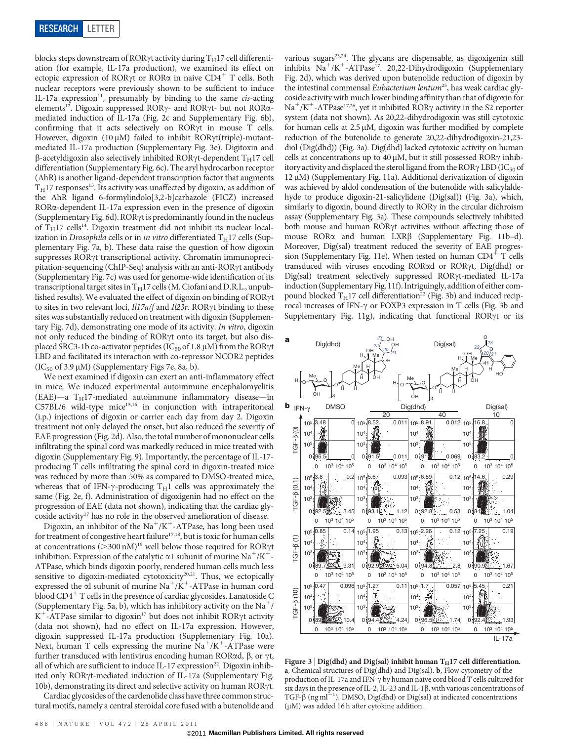blocks steps downstream of ROR $\gamma$ t activity during T $_{\rm H}$ 17 cell differentiation (for example, IL-17a production), we examined its effect on ectopic expression of ROR $\gamma$ t or ROR $\alpha$  in naive CD4<sup>+</sup> T cells. Both nuclear receptors were previously shown to be sufficient to induce IL-17a expression<sup>11</sup>, presumably by binding to the same cis-acting elements<sup>12</sup>. Digoxin suppressed ROR<sub>Y</sub>- and ROR<sub>Yt</sub>- but not ROR<sub> $\alpha$ -</sub> mediated induction of IL-17a (Fig. 2c and Supplementary Fig. 6b), confirming that it acts selectively on ROR $\gamma$ t in mouse T cells. However, digoxin (10  $\mu$ M) failed to inhibit ROR $\gamma$ t(triple)-mutantmediated IL-17a production (Supplementary Fig. 3e). Digitoxin and  $\beta$ -acetyldigoxin also selectively inhibited ROR $\gamma$ t-dependent T<sub>H</sub>17 cell differentiation (Supplementary Fig. 6c). The aryl hydrocarbon receptor (AhR) is another ligand-dependent transcription factor that augments  $T_H$ 17 responses<sup>13</sup>. Its activity was unaffected by digoxin, as addition of the AhR ligand 6-formylindolo[3,2-b]carbazole (FICZ) increased RORa-dependent IL-17a expression even in the presence of digoxin (Supplementary Fig. 6d). ROR $\gamma$ t is predominantly found in the nucleus of  $T_H$ 17 cells<sup>14</sup>. Digoxin treatment did not inhibit its nuclear localization in Drosophila cells or in in vitro differentiated  $T_H$ 17 cells (Supplementary Fig. 7a, b). These data raise the question of how digoxin suppresses ROR $\gamma$ t transcriptional activity. Chromatin immunoprecipitation-sequencing (ChIP-Seq) analysis with an anti-ROR $\gamma$ t antibody (Supplementary Fig. 7c) was used for genome-wide identification of its transcriptional target sites in  $T_H$ 17 cells (M. Ciofani and D.R.L., unpublished results). We evaluated the effect of digoxin on binding of ROR $\gamma$ t to sites in two relevant loci, Il17a/f and Il23r. RORyt binding to these sites was substantially reduced on treatment with digoxin (Supplementary Fig. 7d), demonstrating one mode of its activity. In vitro, digoxin not only reduced the binding of RORyt onto its target, but also displaced SRC3-1b co-activator peptides (IC<sub>50</sub> of 1.8  $\mu$ M) from the ROR $\gamma$ t LBD and facilitated its interaction with co-repressor NCOR2 peptides  $(IC_{50}$  of 3.9  $\mu$ M) (Supplementary Figs 7e, 8a, b).

We next examined if digoxin can exert an anti-inflammatory effect in mice. We induced experimental autoimmune encephalomyelitis  $(EAE)$ —a T<sub>H</sub>17-mediated autoimmune inflammatory disease—in  $C57BL/6$  wild-type mice<sup>15,16</sup> in conjunction with intraperitoneal (i.p.) injections of digoxin or carrier each day from day 2. Digoxin treatment not only delayed the onset, but also reduced the severity of EAE progression (Fig. 2d). Also, the total number of mononuclear cells infiltrating the spinal cord was markedly reduced in mice treated with digoxin (Supplementary Fig. 9). Importantly, the percentage of IL-17 producing T cells infiltrating the spinal cord in digoxin-treated mice was reduced by more than 50% as compared to DMSO-treated mice, whereas that of IFN- $\gamma$ -producing T<sub>H</sub>1 cells was approximately the same (Fig. 2e, f). Administration of digoxigenin had no effect on the progression of EAE (data not shown), indicating that the cardiac glycoside activity<sup>17</sup> has no role in the observed amelioration of disease.

Digoxin, an inhibitor of the Na<sup>+</sup>/K<sup>+</sup>-ATPase, has long been used for treatment of congestive heart failure $17,18$ , but is toxic for human cells at concentrations ( $>300$  nM)<sup>19</sup> well below those required for ROR $\gamma$ t inhibition. Expression of the catalytic  $\alpha$ 1 subunit of murine Na<sup>+</sup>/K<sup>+</sup>-ATPase, which binds digoxin poorly, rendered human cells much less sensitive to digoxin-mediated cytotoxicity<sup>20,21</sup>. Thus, we ectopically expressed the  $\alpha$ l subunit of murine Na<sup>+</sup>/K<sup>+</sup>-ATPase in human cord blood  $CD4^+$  T cells in the presence of cardiac glycosides. Lanatoside C (Supplementary Fig. 5a, b), which has inhibitory activity on the Na<sup>+</sup>/  $K^+$ -ATPase similar to digoxin<sup>17</sup> but does not inhibit ROR $\gamma$ t activity (data not shown), had no effect on IL-17a expression. However, digoxin suppressed IL-17a production (Supplementary Fig. 10a). Next, human T cells expressing the murine  $Na<sup>+</sup>/K<sup>+</sup>$ -ATPase were further transduced with lentivirus encoding human ROR $\alpha$ d,  $\beta$ , or  $\gamma t$ , all of which are sufficient to induce IL-17 expression<sup>22</sup>. Digoxin inhibited only ROR $\gamma$ t-mediated induction of IL-17a (Supplementary Fig. 10b), demonstrating its direct and selective activity on human ROR $\gamma$ t.

Cardiac glycosides of the cardenolide class have three common structural motifs, namely a central steroidal core fused with a butenolide and

various sugars<sup>23,24</sup>. The glycans are dispensable, as digoxigenin still inhibits  $\text{Na}^+/ \text{K}^+$ -ATPase<sup>17</sup>. 20,22-Dihydrodigoxin (Supplementary Fig. 2d), which was derived upon butenolide reduction of digoxin by the intestinal commensal Eubacterium lentum<sup>25</sup>, has weak cardiac glycoside activity with much lower binding affinity than that of digoxin for  $Na^+/K^+$ -ATPase<sup>17,26</sup>, yet it inhibited ROR $\gamma$  activity in the S2 reporter system (data not shown). As 20,22-dihydrodigoxin was still cytotoxic for human cells at  $2.5 \mu M$ , digoxin was further modified by complete reduction of the butenolide to generate 20,22-dihydrodigoxin-21,23 diol (Dig(dhd)) (Fig. 3a). Dig(dhd) lacked cytotoxic activity on human cells at concentrations up to 40  $\mu$ M, but it still possessed ROR $\gamma$  inhibitory activity and displaced the sterol ligand from the ROR $\gamma$  LBD (IC<sub>50</sub> of  $12 \mu M$ ) (Supplementary Fig. 11a). Additional derivatization of digoxin was achieved by aldol condensation of the butenolide with salicylaldehyde to produce digoxin-21-salicylidene (Dig(sal)) (Fig. 3a), which, similarly to digoxin, bound directly to  $ROR\gamma$  in the circular dichroism assay (Supplementary Fig. 3a). These compounds selectively inhibited both mouse and human RORyt activities without affecting those of mouse RORα and human LXRβ (Supplementary Fig. 11b-d). Moreover, Dig(sal) treatment reduced the severity of EAE progression (Supplementary Fig. 11e). When tested on human  $CD4^+$  T cells transduced with viruses encoding RORad or RORyt, Dig(dhd) or Dig(sal) treatment selectively suppressed RORyt-mediated IL-17a induction (Supplementary Fig.11f). Intriguingly, addition of either compound blocked  $T_H$ 17 cell differentiation<sup>22</sup> (Fig. 3b) and induced reciprocal increases of IFN- $\gamma$  or FOXP3 expression in T cells (Fig. 3b and Supplementary Fig. 11g), indicating that functional ROR $\gamma$ t or its



Figure 3 | Dig(dhd) and Dig(sal) inhibit human  $T_H$ 17 cell differentiation. a, Chemical structures of Dig(dhd) and Dig(sal). b, Flow cytometry of the production of IL-17a and IFN- $\gamma$  by human naive cord blood T cells cultured for six days in the presence of IL-2, IL-23 and IL-1 $\beta$ , with various concentrations of TGF- $\beta$  (ng ml<sup>-1</sup>). DMSO, Dig(dhd) or Dig(sal) at indicated concentrations (mM) was added 16 h after cytokine addition.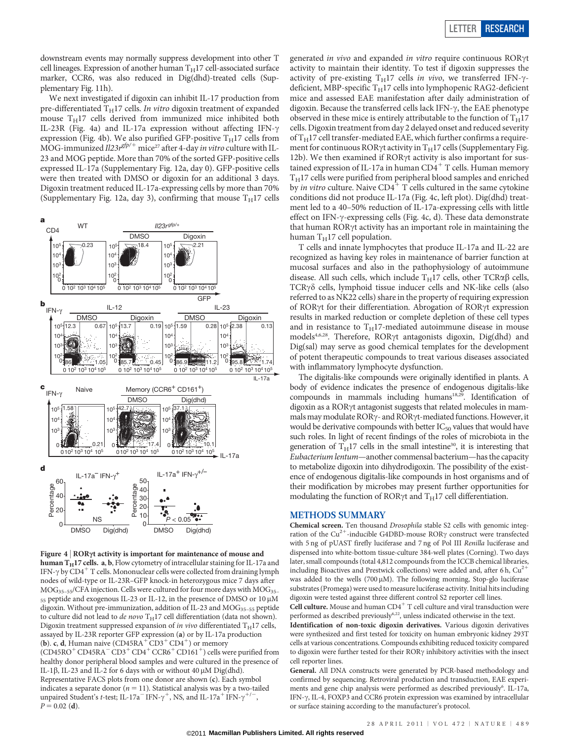downstream events may normally suppress development into other T cell lineages. Expression of another human  $T_H17$  cell-associated surface marker, CCR6, was also reduced in Dig(dhd)-treated cells (Supplementary Fig. 11h).

We next investigated if digoxin can inhibit IL-17 production from pre-differentiated  $T_H$ 17 cells. In vitro digoxin treatment of expanded mouse  $T_H17$  cells derived from immunized mice inhibited both IL-23R (Fig. 4a) and IL-17a expression without affecting IFN- $\gamma$ expression (Fig. 4b). We also purified GFP-positive T<sub>H</sub>17 cells from<br>MOG-immunized Il23r<sup>gfp/+</sup> mice<sup>27</sup> after 4-day *in vitro* culture with IL-23 and MOG peptide. More than 70% of the sorted GFP-positive cells expressed IL-17a (Supplementary Fig. 12a, day 0). GFP-positive cells were then treated with DMSO or digoxin for an additional 3 days. Digoxin treatment reduced IL-17a-expressing cells by more than 70% (Supplementary Fig. 12a, day 3), confirming that mouse  $T_H$ 17 cells



Figure  $4 | ROR\gamma t$  activity is important for maintenance of mouse and human  $T_H$ 17 cells. a, b, Flow cytometry of intracellular staining for IL-17a and IFN- $\gamma$  by CD4<sup>+</sup> T cells. Mononuclear cells were collected from draining lymph nodes of wild-type or IL-23R–GFP knock-in heterozygous mice 7 days after  $MOG<sub>35–55</sub>/CFA injection. Cells were cultured for four more days with  $MOG<sub>35–55</sub>/CFA$$ 55 peptide and exogenous IL-23 or IL-12, in the presence of DMSO or 10 μM digoxin. Without pre-immunization, addition of IL-23 and MOG<sub>35-55</sub> peptide to culture did not lead to de novo  $T_H17$  cell differentiation (data not shown). Digoxin treatment suppressed expansion of in vivo differentiated  $T_H$ 17 cells, assayed by IL-23R reporter GFP expression (a) or by IL-17a production (b). c, d, Human naive  $(CD45RA<sup>+</sup>CD3<sup>+</sup>CD4<sup>+</sup>)$  or memory  $(CD45RO<sup>+</sup>CD45RA<sup>-</sup>CD3<sup>+</sup>CD4<sup>+</sup> CCR6<sup>+</sup>CD161<sup>+</sup>)$  cells were purified from healthy donor peripheral blood samples and were cultured in the presence of IL-1 $\beta$ , IL-23 and IL-2 for 6 days with or without 40  $\mu$ M Dig(dhd). Representative FACS plots from one donor are shown (c). Each symbol indicates a separate donor ( $n = 11$ ). Statistical analysis was by a two-tailed unpaired Student's t-test; IL-17a<sup>-</sup> IFN- $\gamma^+$ , NS, and IL-17a<sup>+</sup> IFN- $\gamma^{+/-}$ ,  $P = 0.02$  (d).

generated in vivo and expanded in vitro require continuous RORyt activity to maintain their identity. To test if digoxin suppresses the activity of pre-existing T<sub>H</sub>17 cells in vivo, we transferred IFN- $\gamma$ deficient, MBP-specific  $T_H17$  cells into lymphopenic RAG2-deficient mice and assessed EAE manifestation after daily administration of digoxin. Because the transferred cells lack IFN- $\gamma$ , the EAE phenotype observed in these mice is entirely attributable to the function of  $T_H$ 17 cells. Digoxin treatment from day 2 delayed onset and reduced severity of  $T_H$ 17 cell transfer-mediated EAE, which further confirms a requirement for continuous ROR $\gamma$ t activity in T<sub>H</sub>17 cells (Supplementary Fig. 12b). We then examined if ROR $\gamma$ t activity is also important for sustained expression of IL-17a in human  $CD4^+$  T cells. Human memory  $T_H$ 17 cells were purified from peripheral blood samples and enriched by *in vitro* culture. Naive  $CD4^+$  T cells cultured in the same cytokine conditions did not produce IL-17a (Fig. 4c, left plot). Dig(dhd) treatment led to a 40–50% reduction of IL-17a-expressing cells with little effect on IFN- $\gamma$ -expressing cells (Fig. 4c, d). These data demonstrate that human ROR $\gamma$ t activity has an important role in maintaining the human  $T_H$ 17 cell population.

T cells and innate lymphocytes that produce IL-17a and IL-22 are recognized as having key roles in maintenance of barrier function at mucosal surfaces and also in the pathophysiology of autoimmune disease. All such cells, which include  $T_H17$  cells, other TCR $\alpha\beta$  cells,  $TCR\gamma\delta$  cells, lymphoid tissue inducer cells and NK-like cells (also referred to as NK22 cells) share in the property of requiring expression of RORyt for their differentiation. Abrogation of RORyt expression results in marked reduction or complete depletion of these cell types and in resistance to  $T_H$ 17-mediated autoimmune disease in mouse models<sup>4,6,28</sup>. Therefore, ROR $\gamma$ t antagonists digoxin, Dig(dhd) and Dig(sal) may serve as good chemical templates for the development of potent therapeutic compounds to treat various diseases associated with inflammatory lymphocyte dysfunction.

The digitalis-like compounds were originally identified in plants. A body of evidence indicates the presence of endogenous digitalis-like compounds in mammals including humans<sup>18,29</sup>. Identification of digoxin as a ROR $\gamma$ t antagonist suggests that related molecules in mammals may modulate ROR $\gamma$ - and ROR $\gamma$ t-mediated functions. However, it would be derivative compounds with better  $IC_{50}$  values that would have such roles. In light of recent findings of the roles of microbiota in the generation of  $T_H17$  cells in the small intestine<sup>30</sup>, it is interesting that Eubacterium lentum—another commensal bacterium—has the capacity to metabolize digoxin into dihydrodigoxin. The possibility of the existence of endogenous digitalis-like compounds in host organisms and of their modification by microbes may present further opportunities for modulating the function of ROR $\gamma$ t and T<sub>H</sub>17 cell differentiation.

## METHODS SUMMARY

Chemical screen. Ten thousand Drosophila stable S2 cells with genomic integration of the  $Cu^{2+}$ -inducible G4DBD-mouse ROR $\gamma$  construct were transfected with 5 ng of pUAST firefly luciferase and 7 ng of Pol III Renilla luciferase and dispensed into white-bottom tissue-culture 384-well plates (Corning). Two days later, small compounds (total 4,812 compounds from the ICCB chemical libraries, including Bioactives and Prestwick collections) were added and, after 6 h,  $Cu^{2+}$ was added to the wells (700 µM). The following morning, Stop-glo luciferase substrates (Promega) were used to measure luciferase activity. Initial hits including digoxin were tested against three different control S2 reporter cell lines.

Cell culture. Mouse and human  $CD4^+$  T cell culture and viral transduction were performed as described previously<sup>6,22</sup>, unless indicated otherwise in the text.

Identification of non-toxic digoxin derivatives. Various digoxin derivatives were synthesized and first tested for toxicity on human embryonic kidney 293T cells at various concentrations. Compounds exhibiting reduced toxicity compared to digoxin were further tested for their  $ROR\gamma$  inhibitory activities with the insect cell reporter lines.

General. All DNA constructs were generated by PCR-based methodology and confirmed by sequencing. Retroviral production and transduction, EAE experiments and gene chip analysis were performed as described previously<sup>6</sup>. IL-17a, IFN- $\gamma$ , IL-4, FOXP3 and CCR6 protein expression was examined by intracellular or surface staining according to the manufacturer's protocol.